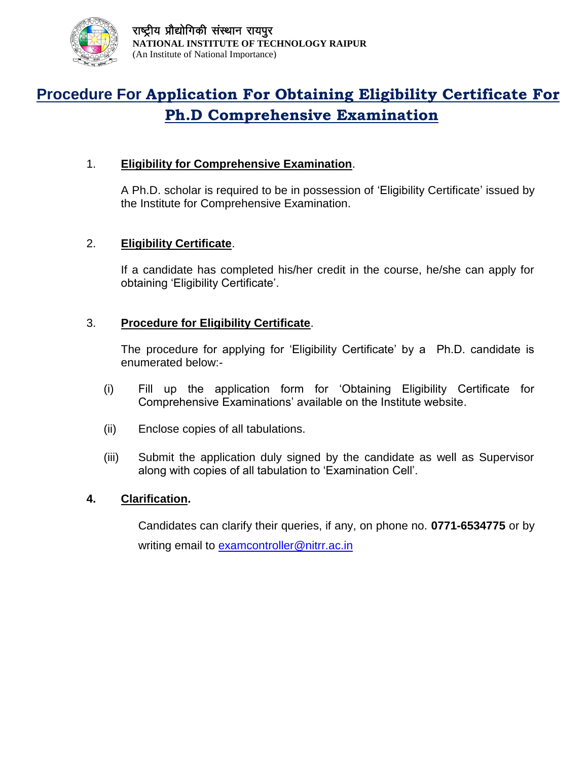

# **Procedure For Application For Obtaining Eligibility Certificate For Ph.D Comprehensive Examination**

# 1. **Eligibility for Comprehensive Examination**.

A Ph.D. scholar is required to be in possession of 'Eligibility Certificate' issued by the Institute for Comprehensive Examination.

## 2. **Eligibility Certificate**.

If a candidate has completed his/her credit in the course, he/she can apply for obtaining 'Eligibility Certificate'.

## 3. **Procedure for Eligibility Certificate**.

The procedure for applying for 'Eligibility Certificate' by a Ph.D. candidate is enumerated below:-

- (i) Fill up the application form for 'Obtaining Eligibility Certificate for Comprehensive Examinations' available on the Institute website.
- (ii) Enclose copies of all tabulations.
- (iii) Submit the application duly signed by the candidate as well as Supervisor along with copies of all tabulation to 'Examination Cell'.

#### **4. Clarification.**

Candidates can clarify their queries, if any, on phone no. **0771-6534775** or by writing email to [examcontroller@nitrr.ac.in](mailto:examcontroller@nitrr.ac.in)